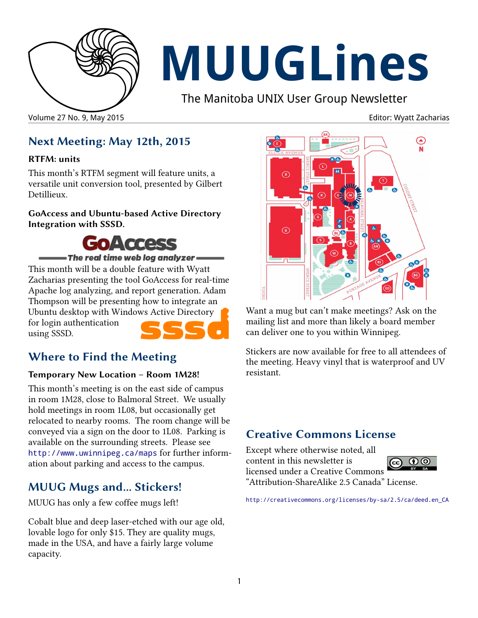

# **MUUGLines**

The Manitoba UNIX User Group Newsletter

Volume 27 No. 9, May 2015 **Editor: Wyatt Zacharias** Editor: Wyatt Zacharias

# **Next Meeting: May 12th, 2015**

#### **RTFM: units**

This month's RTFM segment will feature units, a versatile unit conversion tool, presented by Gilbert Detillieux.

#### **GoAccess and Ubuntu-based Active Directory Integration with SSSD.**

**GoAccess** 

#### -The real time web log analyzer <del>---</del>

This month will be a double feature with Wyatt Zacharias presenting the tool GoAccess for real-time Apache log analyzing, and report generation. Adam Thompson will be presenting how to integrate an Ubuntu desktop with Windows Active Directory for login authentication using SSSD.

# **Where to Find the Meeting**

#### **Temporary New Location – Room 1M28!**

This month's meeting is on the east side of campus in room 1M28, close to Balmoral Street. We usually hold meetings in room 1L08, but occasionally get relocated to nearby rooms. The room change will be conveyed via a sign on the door to 1L08. Parking is available on the surrounding streets. Please see <http://www.uwinnipeg.ca/maps> for further information about parking and access to the campus.

# **MUUG Mugs and... Stickers!**

MUUG has only a few coffee mugs left!

Cobalt blue and deep laser-etched with our age old, lovable logo for only \$15. They are quality mugs, made in the USA, and have a fairly large volume capacity.



Want a mug but can't make meetings? Ask on the mailing list and more than likely a board member can deliver one to you within Winnipeg.

Stickers are now available for free to all attendees of the meeting. Heavy vinyl that is waterproof and UV resistant.

# **Creative Commons License**

Except where otherwise noted, all content in this newsletter is licensed under a Creative Commons



"Attribution-ShareAlike 2.5 Canada" License.

[http://creativecommons.org/licenses/by-sa/2.5/ca/deed.en\\_CA](http://creativecommons.org/licenses/by-sa/2.5/ca/deed.en_CA)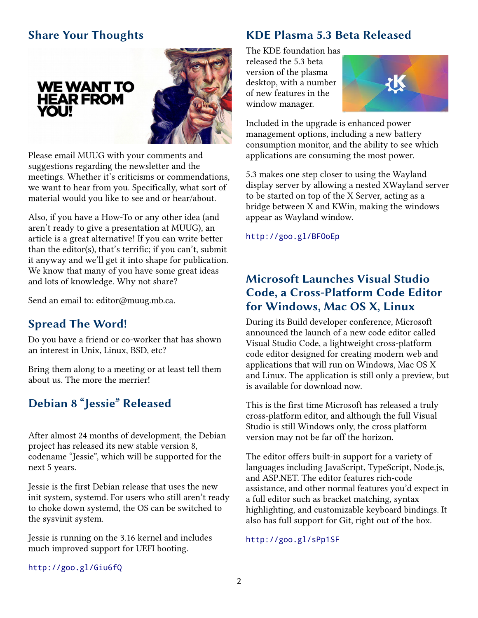## **Share Your Thoughts**

**WE WANT TO HEAR FROM** 

**YOU!** 



Please email MUUG with your comments and suggestions regarding the newsletter and the meetings. Whether it's criticisms or commendations, we want to hear from you. Specifically, what sort of material would you like to see and or hear/about.

Also, if you have a How-To or any other idea (and aren't ready to give a presentation at MUUG), an article is a great alternative! If you can write better than the editor(s), that's terrific; if you can't, submit it anyway and we'll get it into shape for publication. We know that many of you have some great ideas and lots of knowledge. Why not share?

Send an email to: editor@muug.mb.ca.

#### **Spread The Word!**

Do you have a friend or co-worker that has shown an interest in Unix, Linux, BSD, etc?

Bring them along to a meeting or at least tell them about us. The more the merrier!

# **Debian 8 "Jessie" Released**

After almost 24 months of development, the Debian project has released its new stable version 8, codename "Jessie", which will be supported for the next 5 years.

Jessie is the first Debian release that uses the new init system, systemd. For users who still aren't ready to choke down systemd, the OS can be switched to the sysvinit system.

Jessie is running on the 3.16 kernel and includes much improved support for UEFI booting.

### **KDE Plasma 5.3 Beta Released**

The KDE foundation has released the 5.3 beta version of the plasma desktop, with a number of new features in the window manager.



Included in the upgrade is enhanced power management options, including a new battery consumption monitor, and the ability to see which applications are consuming the most power.

5.3 makes one step closer to using the Wayland display server by allowing a nested XWayland server to be started on top of the X Server, acting as a bridge between X and KWin, making the windows appear as Wayland window.

<http://goo.gl/BFOoEp>

## **Microsoft Launches Visual Studio Code, a Cross-Platform Code Editor for Windows, Mac OS X, Linux**

During its Build developer conference, Microsoft announced the launch of a new code editor called Visual Studio Code, a lightweight cross-platform code editor designed for creating modern web and applications that will run on Windows, Mac OS X and Linux. The application is still only a preview, but is available for download now.

This is the first time Microsoft has released a truly cross-platform editor, and although the full Visual Studio is still Windows only, the cross platform version may not be far off the horizon.

The editor offers built-in support for a variety of languages including JavaScript, TypeScript, Node.js, and ASP.NET. The editor features rich-code assistance, and other normal features you'd expect in a full editor such as bracket matching, syntax highlighting, and customizable keyboard bindings. It also has full support for Git, right out of the box.

<http://goo.gl/sPp1SF>

<http://goo.gl/Giu6fQ>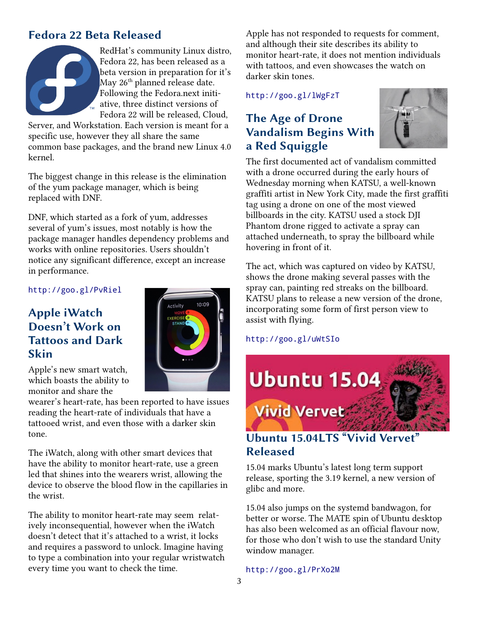## **Fedora 22 Beta Released**



RedHat's community Linux distro, Fedora 22, has been released as a beta version in preparation for it's May 26<sup>th</sup> planned release date. Following the Fedora.next initiative, three distinct versions of Fedora 22 will be released, Cloud,

Server, and Workstation. Each version is meant for a specific use, however they all share the same common base packages, and the brand new Linux 4.0 kernel.

The biggest change in this release is the elimination of the yum package manager, which is being replaced with DNF.

DNF, which started as a fork of yum, addresses several of yum's issues, most notably is how the package manager handles dependency problems and works with online repositories. Users shouldn't notice any significant difference, except an increase in performance.

<http://goo.gl/PvRiel>

# **Apple iWatch Doesn't Work on Tattoos and Dark Skin**



Apple's new smart watch, which boasts the ability to monitor and share the

wearer's heart-rate, has been reported to have issues reading the heart-rate of individuals that have a tattooed wrist, and even those with a darker skin tone.

The iWatch, along with other smart devices that have the ability to monitor heart-rate, use a green led that shines into the wearers wrist, allowing the device to observe the blood flow in the capillaries in the wrist.

The ability to monitor heart-rate may seem relatively inconsequential, however when the iWatch doesn't detect that it's attached to a wrist, it locks and requires a password to unlock. Imagine having to type a combination into your regular wristwatch every time you want to check the time.

Apple has not responded to requests for comment, and although their site describes its ability to monitor heart-rate, it does not mention individuals with tattoos, and even showcases the watch on darker skin tones.

<http://goo.gl/lWgFzT>

# **The Age of Drone Vandalism Begins With a Red Squiggle**



The first documented act of vandalism committed with a drone occurred during the early hours of Wednesday morning when KATSU, a well-known graffiti artist in New York City, made the first graffiti tag using a drone on one of the most viewed billboards in the city. KATSU used a stock DJI Phantom drone rigged to activate a spray can attached underneath, to spray the billboard while hovering in front of it.

The act, which was captured on video by KATSU, shows the drone making several passes with the spray can, painting red streaks on the billboard. KATSU plans to release a new version of the drone, incorporating some form of first person view to assist with flying.

#### <http://goo.gl/uWtSIo>



# **Ubuntu 15.04LTS "Vivid Vervet" Released**

15.04 marks Ubuntu's latest long term support release, sporting the 3.19 kernel, a new version of glibc and more.

15.04 also jumps on the systemd bandwagon, for better or worse. The MATE spin of Ubuntu desktop has also been welcomed as an official flavour now, for those who don't wish to use the standard Unity window manager.

<http://goo.gl/PrXo2M>